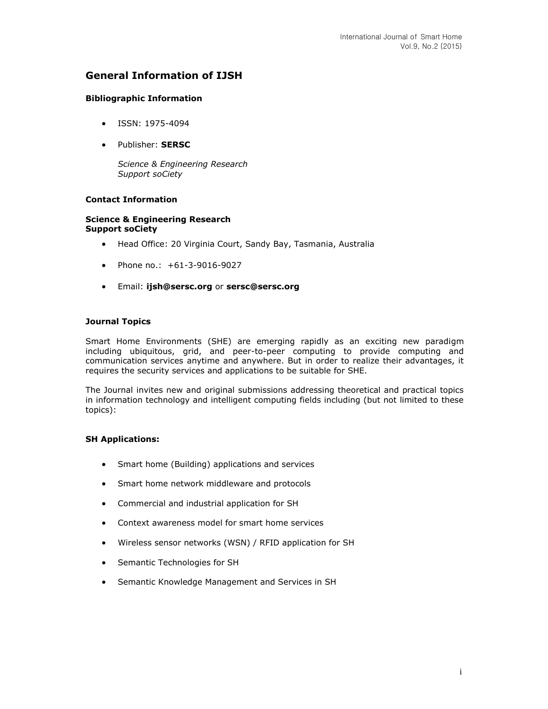# **General Information of IJSH**

### **Bibliographic Information**

- ISSN: 1975-4094
- Publisher: **SERSC**

*Science & Engineering Research Support soCiety*

### **Contact Information**

### **Science & Engineering Research Support soCiety**

- Head Office: 20 Virginia Court, Sandy Bay, Tasmania, Australia
- Phone no.: +61-3-9016-9027
- Email: **[ijsh@sersc.org](mailto:ijsh@sersc.org)** or **[sersc@sersc.org](mailto:sersc@sersc.org)**

### **Journal Topics**

Smart Home Environments (SHE) are emerging rapidly as an exciting new paradigm including ubiquitous, grid, and peer-to-peer computing to provide computing and communication services anytime and anywhere. But in order to realize their advantages, it requires the security services and applications to be suitable for SHE.

The Journal invites new and original submissions addressing theoretical and practical topics in information technology and intelligent computing fields including (but not limited to these topics):

### **SH Applications:**

- Smart home (Building) applications and services
- Smart home network middleware and protocols
- Commercial and industrial application for SH
- Context awareness model for smart home services
- Wireless sensor networks (WSN) / RFID application for SH
- Semantic Technologies for SH
- Semantic Knowledge Management and Services in SH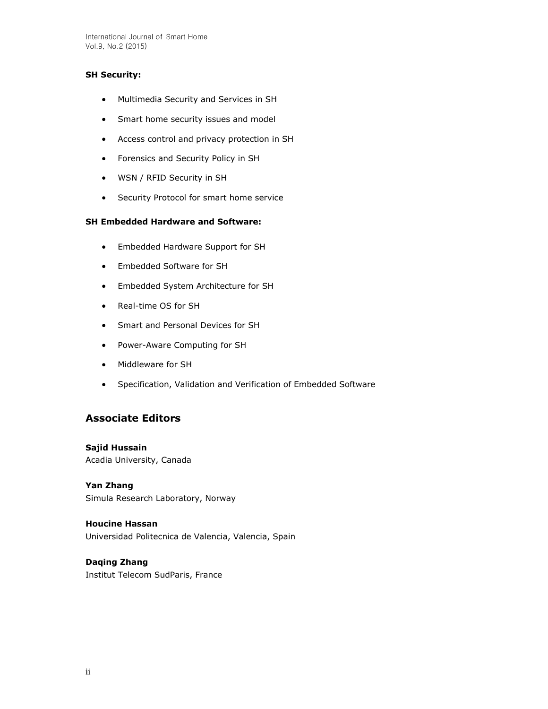International Journal of Smart Home Vol.9, No.2 (2015)

### **SH Security:**

- Multimedia Security and Services in SH
- Smart home security issues and model
- Access control and privacy protection in SH
- Forensics and Security Policy in SH
- WSN / RFID Security in SH
- **•** Security Protocol for smart home service

## **SH Embedded Hardware and Software:**

- Embedded Hardware Support for SH
- Embedded Software for SH
- Embedded System Architecture for SH
- Real-time OS for SH
- Smart and Personal Devices for SH
- Power-Aware Computing for SH
- Middleware for SH
- Specification, Validation and Verification of Embedded Software

## **Associate Editors**

**Sajid Hussain** Acadia University, Canada

**Yan Zhang**  Simula Research Laboratory, Norway

**Houcine Hassan**  Universidad Politecnica de Valencia, Valencia, Spain

## **Daqing Zhang** Institut Telecom SudParis, France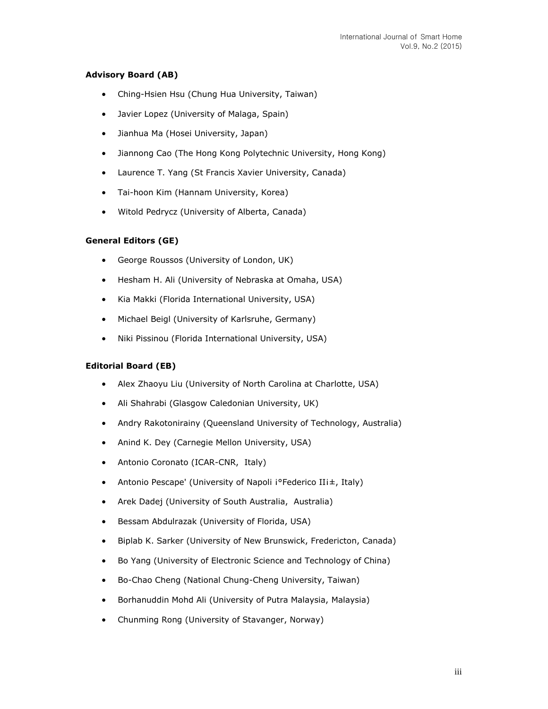## **Advisory Board (AB)**

- Ching-Hsien Hsu (Chung Hua University, Taiwan)
- Javier Lopez (University of Malaga, Spain)
- Jianhua Ma (Hosei University, Japan)
- Jiannong Cao (The Hong Kong Polytechnic University, Hong Kong)
- Laurence T. Yang (St Francis Xavier University, Canada)
- Tai-hoon Kim (Hannam University, Korea)
- Witold Pedrycz (University of Alberta, Canada)

### **General Editors (GE)**

- George Roussos (University of London, UK)
- Hesham H. Ali (University of Nebraska at Omaha, USA)
- Kia Makki (Florida International University, USA)
- Michael Beigl (University of Karlsruhe, Germany)
- Niki Pissinou (Florida International University, USA)

### **Editorial Board (EB)**

- Alex Zhaoyu Liu (University of North Carolina at Charlotte, USA)
- Ali Shahrabi (Glasgow Caledonian University, UK)
- Andry Rakotonirainy (Queensland University of Technology, Australia)
- Anind K. Dey (Carnegie Mellon University, USA)
- Antonio Coronato (ICAR-CNR, Italy)
- Antonio Pescape' (University of Napoli i°Federico IIi±, Italy)
- Arek Dadej (University of South Australia, Australia)
- Bessam Abdulrazak (University of Florida, USA)
- Biplab K. Sarker (University of New Brunswick, Fredericton, Canada)
- Bo Yang (University of Electronic Science and Technology of China)
- Bo-Chao Cheng (National Chung-Cheng University, Taiwan)
- Borhanuddin Mohd Ali (University of Putra Malaysia, Malaysia)
- Chunming Rong (University of Stavanger, Norway)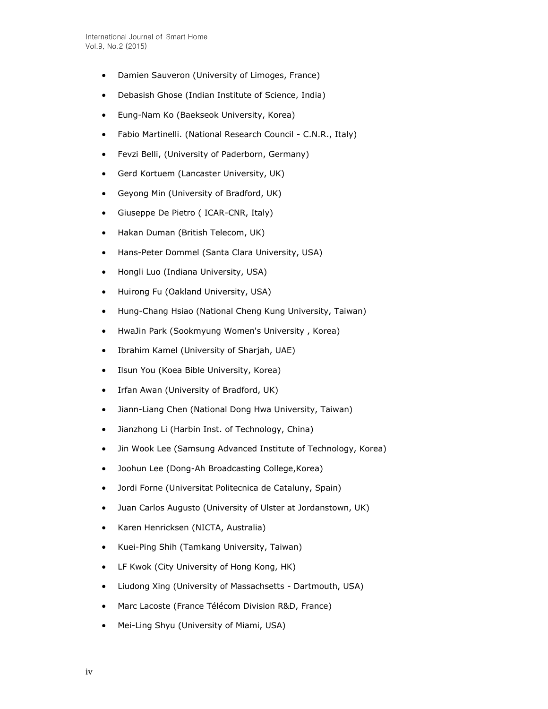- Damien Sauveron (University of Limoges, France)
- Debasish Ghose (Indian Institute of Science, India)
- Eung-Nam Ko (Baekseok University, Korea)
- Fabio Martinelli. (National Research Council C.N.R., Italy)
- Fevzi Belli, (University of Paderborn, Germany)
- Gerd Kortuem (Lancaster University, UK)
- Geyong Min (University of Bradford, UK)
- Giuseppe De Pietro ( ICAR-CNR, Italy)
- Hakan Duman (British Telecom, UK)
- Hans-Peter Dommel (Santa Clara University, USA)
- Hongli Luo (Indiana University, USA)
- Huirong Fu (Oakland University, USA)
- Hung-Chang Hsiao (National Cheng Kung University, Taiwan)
- HwaJin Park (Sookmyung Women's University , Korea)
- Ibrahim Kamel (University of Sharjah, UAE)
- Ilsun You (Koea Bible University, Korea)
- Irfan Awan (University of Bradford, UK)
- Jiann-Liang Chen (National Dong Hwa University, Taiwan)
- Jianzhong Li (Harbin Inst. of Technology, China)
- Jin Wook Lee (Samsung Advanced Institute of Technology, Korea)
- Joohun Lee (Dong-Ah Broadcasting College,Korea)
- Jordi Forne (Universitat Politecnica de Cataluny, Spain)
- Juan Carlos Augusto (University of Ulster at Jordanstown, UK)
- Karen Henricksen (NICTA, Australia)
- Kuei-Ping Shih (Tamkang University, Taiwan)
- LF Kwok (City University of Hong Kong, HK)
- Liudong Xing (University of Massachsetts Dartmouth, USA)
- Marc Lacoste (France Télécom Division R&D, France)
- Mei-Ling Shyu (University of Miami, USA)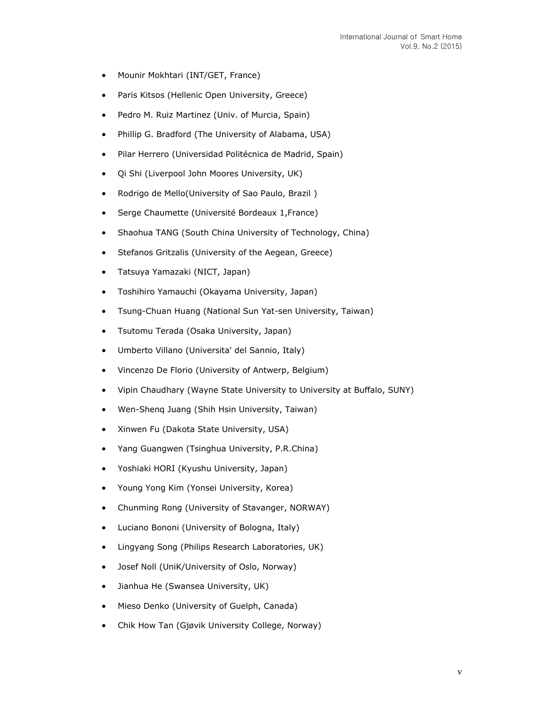- Mounir Mokhtari (INT/GET, France)
- Paris Kitsos (Hellenic Open University, Greece)
- Pedro M. Ruiz Martinez (Univ. of Murcia, Spain)
- Phillip G. Bradford (The University of Alabama, USA)
- Pilar Herrero (Universidad Politécnica de Madrid, Spain)
- Qi Shi (Liverpool John Moores University, UK)
- Rodrigo de Mello(University of Sao Paulo, Brazil)
- Serge Chaumette (Université Bordeaux 1,France)
- Shaohua TANG (South China University of Technology, China)
- Stefanos Gritzalis (University of the Aegean, Greece)
- Tatsuya Yamazaki (NICT, Japan)
- Toshihiro Yamauchi (Okayama University, Japan)
- Tsung-Chuan Huang (National Sun Yat-sen University, Taiwan)
- Tsutomu Terada (Osaka University, Japan)
- Umberto Villano (Universita' del Sannio, Italy)
- Vincenzo De Florio (University of Antwerp, Belgium)
- Vipin Chaudhary (Wayne State University to University at Buffalo, SUNY)
- Wen-Shenq Juang (Shih Hsin University, Taiwan)
- Xinwen Fu (Dakota State University, USA)
- Yang Guangwen (Tsinghua University, P.R.China)
- Yoshiaki HORI (Kyushu University, Japan)
- Young Yong Kim (Yonsei University, Korea)
- Chunming Rong (University of Stavanger, NORWAY)
- Luciano Bononi (University of Bologna, Italy)
- Lingyang Song (Philips Research Laboratories, UK)
- Josef Noll (UniK/University of Oslo, Norway)
- Jianhua He (Swansea University, UK)
- Mieso Denko (University of Guelph, Canada)
- Chik How Tan (Gjøvik University College, Norway)